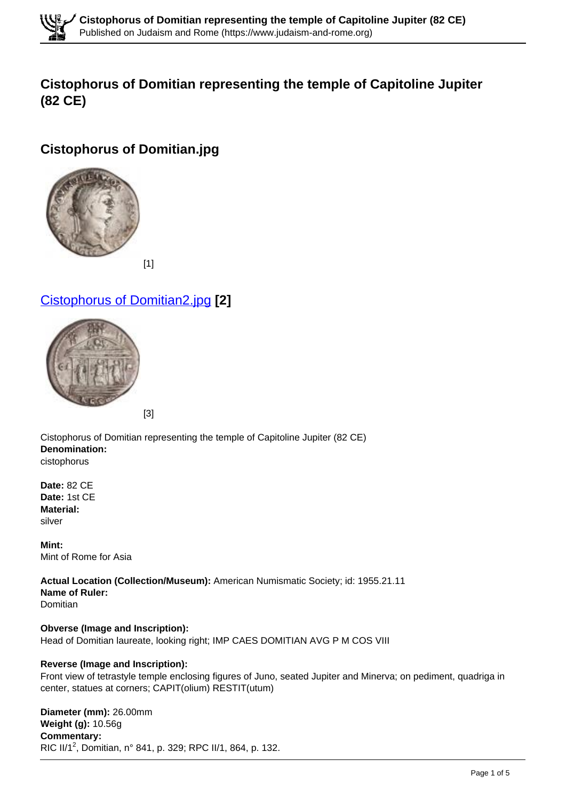

# **Cistophorus of Domitian representing the temple of Capitoline Jupiter (82 CE)**

# **Cistophorus of Domitian.jpg**



# Cistophorus of Domitian2.jpg **[2]**



Cistophorus of Domitian representing the temple of Capitoline Jupiter (82 CE) **Denomination:**  cistophorus

**Date:** 82 CE **Date:** 1st CE **Material:**  silver

**Mint:**  Mint of Rome for Asia

**Actual Location (Collection/Museum):** American Numismatic Society; id: 1955.21.11 **Name of Ruler:**  Domitian

**Obverse (Image and Inscription):**  Head of Domitian laureate, looking right; IMP CAES DOMITIAN AVG P M COS VIII

#### **Reverse (Image and Inscription):**

Front view of tetrastyle temple enclosing figures of Juno, seated Jupiter and Minerva; on pediment, quadriga in center, statues at corners; CAPIT(olium) RESTIT(utum)

**Diameter (mm):** 26.00mm **Weight (g):** 10.56g **Commentary:**  RIC II/1<sup>2</sup>, Domitian, n° 841, p. 329; RPC II/1, 864, p. 132.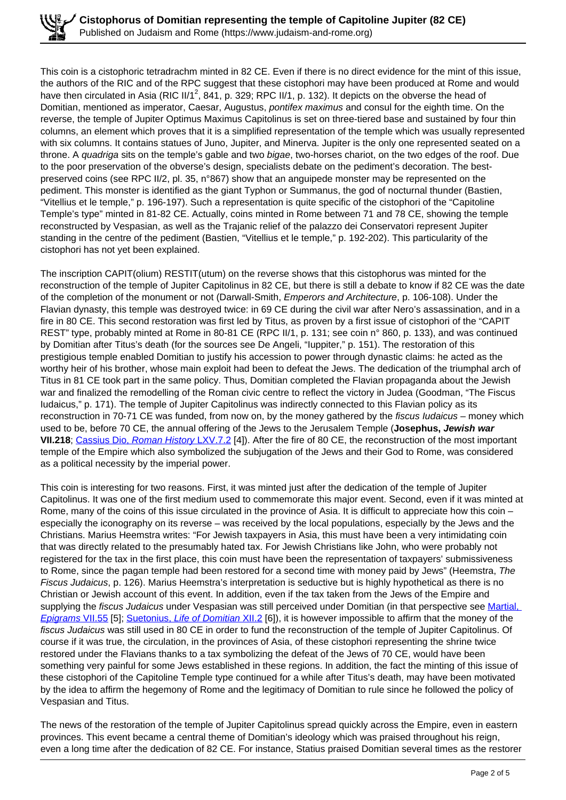This coin is a cistophoric tetradrachm minted in 82 CE. Even if there is no direct evidence for the mint of this issue, the authors of the RIC and of the RPC suggest that these cistophori may have been produced at Rome and would have then circulated in Asia (RIC II/1<sup>2</sup>, 841, p. 329; RPC II/1, p. 132). It depicts on the obverse the head of Domitian, mentioned as imperator, Caesar, Augustus, *pontifex maximus* and consul for the eighth time. On the reverse, the temple of Jupiter Optimus Maximus Capitolinus is set on three-tiered base and sustained by four thin columns, an element which proves that it is a simplified representation of the temple which was usually represented with six columns. It contains statues of Juno, Jupiter, and Minerva. Jupiter is the only one represented seated on a throne. A *quadriga* sits on the temple's gable and two *bigae*, two-horses chariot, on the two edges of the roof. Due to the poor preservation of the obverse's design, specialists debate on the pediment's decoration. The bestpreserved coins (see RPC II/2, pl. 35, n°867) show that an anguipede monster may be represented on the pediment. This monster is identified as the giant Typhon or Summanus, the god of nocturnal thunder (Bastien, "Vitellius et le temple," p. 196-197). Such a representation is quite specific of the cistophori of the "Capitoline Temple's type" minted in 81-82 CE. Actually, coins minted in Rome between 71 and 78 CE, showing the temple reconstructed by Vespasian, as well as the Trajanic relief of the palazzo dei Conservatori represent Jupiter standing in the centre of the pediment (Bastien, "Vitellius et le temple," p. 192-202). This particularity of the cistophori has not yet been explained.

The inscription CAPIT(olium) RESTIT(utum) on the reverse shows that this cistophorus was minted for the reconstruction of the temple of Jupiter Capitolinus in 82 CE, but there is still a debate to know if 82 CE was the date of the completion of the monument or not (Darwall-Smith, Emperors and Architecture, p. 106-108). Under the Flavian dynasty, this temple was destroyed twice: in 69 CE during the civil war after Nero's assassination, and in a fire in 80 CE. This second restoration was first led by Titus, as proven by a first issue of cistophori of the "CAPIT REST" type, probably minted at Rome in 80-81 CE (RPC II/1, p. 131; see coin n° 860, p. 133), and was continued by Domitian after Titus's death (for the sources see De Angeli, "Iuppiter," p. 151). The restoration of this prestigious temple enabled Domitian to justify his accession to power through dynastic claims: he acted as the worthy heir of his brother, whose main exploit had been to defeat the Jews. The dedication of the triumphal arch of Titus in 81 CE took part in the same policy. Thus, Domitian completed the Flavian propaganda about the Jewish war and finalized the remodelling of the Roman civic centre to reflect the victory in Judea (Goodman, "The Fiscus Iudaicus," p. 171). The temple of Jupiter Capitolinus was indirectly connected to this Flavian policy as its reconstruction in 70-71 CE was funded, from now on, by the money gathered by the fiscus *ludaicus* – money which used to be, before 70 CE, the annual offering of the Jews to the Jerusalem Temple (**Josephus, Jewish war VII.218**; Cassius Dio, Roman History LXV.7.2 [4]). After the fire of 80 CE, the reconstruction of the most important temple of the Empire which also symbolized the subjugation of the Jews and their God to Rome, was considered as a political necessity by the imperial power.

This coin is interesting for two reasons. First, it was minted just after the dedication of the temple of Jupiter Capitolinus. It was one of the first medium used to commemorate this major event. Second, even if it was minted at Rome, many of the coins of this issue circulated in the province of Asia. It is difficult to appreciate how this coin – especially the iconography on its reverse – was received by the local populations, especially by the Jews and the Christians. Marius Heemstra writes: "For Jewish taxpayers in Asia, this must have been a very intimidating coin that was directly related to the presumably hated tax. For Jewish Christians like John, who were probably not registered for the tax in the first place, this coin must have been the representation of taxpayers' submissiveness to Rome, since the pagan temple had been restored for a second time with money paid by Jews" (Heemstra, The Fiscus Judaicus, p. 126). Marius Heemstra's interpretation is seductive but is highly hypothetical as there is no Christian or Jewish account of this event. In addition, even if the tax taken from the Jews of the Empire and supplying the fiscus Judaicus under Vespasian was still perceived under Domitian (in that perspective see Martial, Epigrams VII.55 [5]; Suetonius, Life of Domitian XII.2 [6]), it is however impossible to affirm that the money of the fiscus Judaicus was still used in 80 CE in order to fund the reconstruction of the temple of Jupiter Capitolinus. Of course if it was true, the circulation, in the provinces of Asia, of these cistophori representing the shrine twice restored under the Flavians thanks to a tax symbolizing the defeat of the Jews of 70 CE, would have been something very painful for some Jews established in these regions. In addition, the fact the minting of this issue of these cistophori of the Capitoline Temple type continued for a while after Titus's death, may have been motivated by the idea to affirm the hegemony of Rome and the legitimacy of Domitian to rule since he followed the policy of Vespasian and Titus.

The news of the restoration of the temple of Jupiter Capitolinus spread quickly across the Empire, even in eastern provinces. This event became a central theme of Domitian's ideology which was praised throughout his reign, even a long time after the dedication of 82 CE. For instance, Statius praised Domitian several times as the restorer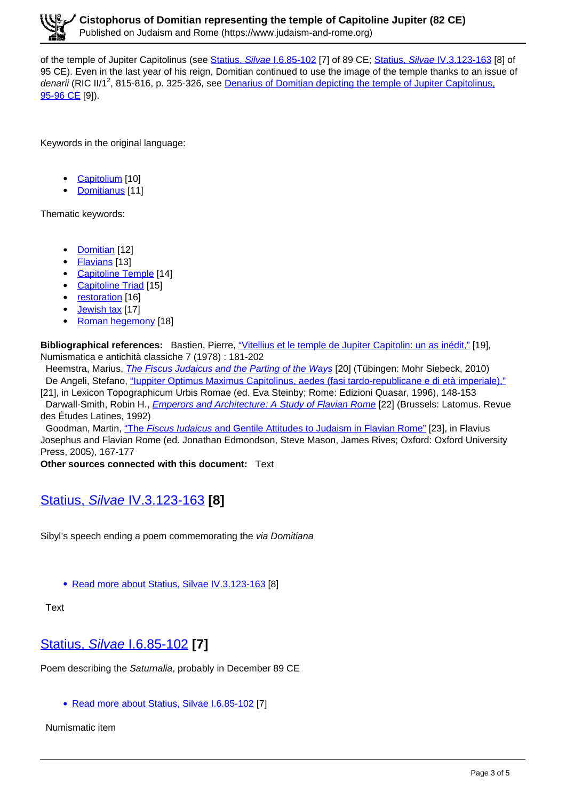of the temple of Jupiter Capitolinus (see Statius, Silvae I.6.85-102 [7] of 89 CE; Statius, Silvae IV.3.123-163 [8] of 95 CE). Even in the last year of his reign, Domitian continued to use the image of the temple thanks to an issue of denarii (RIC II/1<sup>2</sup>, 815-816, p. 325-326, see Denarius of Domitian depicting the temple of Jupiter Capitolinus, 95-96 CE [9]).

Keywords in the original language:

- Capitolium [10]
- Domitianus [11]

Thematic keywords:

- Domitian [12]
- Flavians [13]
- Capitoline Temple [14]
- Capitoline Triad [15]
- restoration [16]
- Jewish tax [17]
- $\bullet$ Roman hegemony [18]

**Bibliographical references:** Bastien, Pierre, "Vitellius et le temple de Jupiter Capitolin: un as inédit," [19], Numismatica e antichità classiche 7 (1978) : 181-202

Heemstra, Marius, *The Fiscus Judaicus and the Parting of the Ways* [20] (Tübingen: Mohr Siebeck, 2010) De Angeli, Stefano, "Iuppiter Optimus Maximus Capitolinus, aedes (fasi tardo-republicane e di età imperiale),"

[21], in Lexicon Topographicum Urbis Romae (ed. Eva Steinby; Rome: Edizioni Quasar, 1996), 148-153 Darwall-Smith, Robin H., *Emperors and Architecture: A Study of Flavian Rome* [22] (Brussels: Latomus. Revue des Études Latines, 1992)

Goodman, Martin, "The Fiscus Iudaicus and Gentile Attitudes to Judaism in Flavian Rome" [23], in Flavius Josephus and Flavian Rome (ed. Jonathan Edmondson, Steve Mason, James Rives; Oxford: Oxford University Press, 2005), 167-177

**Other sources connected with this document:** Text

# Statius, Silvae IV.3.123-163 **[8]**

Sibyl's speech ending a poem commemorating the via Domitiana

• Read more about Statius, Silvae IV.3.123-163 [8]

**Text** 

# Statius, Silvae I.6.85-102 **[7]**

Poem describing the Saturnalia, probably in December 89 CE

• Read more about Statius, Silvae I.6.85-102 [7]

Numismatic item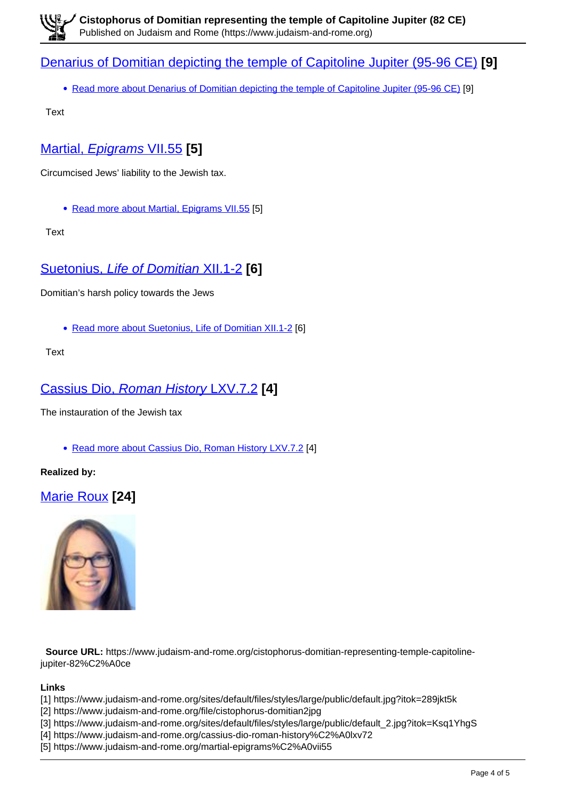### Denarius of Domitian depicting the temple of Capitoline Jupiter (95-96 CE) **[9]**

• Read more about Denarius of Domitian depicting the temple of Capitoline Jupiter (95-96 CE) [9]

Text

# Martial, Epigrams VII.55 **[5]**

Circumcised Jews' liability to the Jewish tax.

• Read more about Martial, Epigrams VII.55 [5]

**Text** 

# Suetonius, Life of Domitian XII.1-2 **[6]**

Domitian's harsh policy towards the Jews

• Read more about Suetonius, Life of Domitian XII.1-2 [6]

**Text** 

#### Cassius Dio, Roman History LXV.7.2 **[4]**

The instauration of the Jewish tax

• Read more about Cassius Dio, Roman History LXV.7.2 [4]

**Realized by:** 

# Marie Roux **[24]**



 **Source URL:** https://www.judaism-and-rome.org/cistophorus-domitian-representing-temple-capitolinejupiter-82%C2%A0ce

**Links**

- [1] https://www.judaism-and-rome.org/sites/default/files/styles/large/public/default.jpg?itok=289jkt5k
- [2] https://www.judaism-and-rome.org/file/cistophorus-domitian2jpg
- [3] https://www.judaism-and-rome.org/sites/default/files/styles/large/public/default\_2.jpg?itok=Ksq1YhgS
- [4] https://www.judaism-and-rome.org/cassius-dio-roman-history%C2%A0lxv72
- [5] https://www.judaism-and-rome.org/martial-epigrams%C2%A0vii55